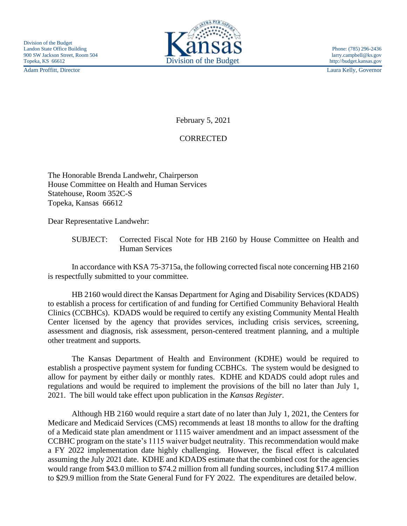Adam Proffitt, Director Laura Kelly, Governor



February 5, 2021

## **CORRECTED**

The Honorable Brenda Landwehr, Chairperson House Committee on Health and Human Services Statehouse, Room 352C-S Topeka, Kansas 66612

Dear Representative Landwehr:

SUBJECT: Corrected Fiscal Note for HB 2160 by House Committee on Health and Human Services

In accordance with KSA 75-3715a, the following corrected fiscal note concerning HB 2160 is respectfully submitted to your committee.

HB 2160 would direct the Kansas Department for Aging and Disability Services (KDADS) to establish a process for certification of and funding for Certified Community Behavioral Health Clinics (CCBHCs). KDADS would be required to certify any existing Community Mental Health Center licensed by the agency that provides services, including crisis services, screening, assessment and diagnosis, risk assessment, person-centered treatment planning, and a multiple other treatment and supports.

The Kansas Department of Health and Environment (KDHE) would be required to establish a prospective payment system for funding CCBHCs. The system would be designed to allow for payment by either daily or monthly rates. KDHE and KDADS could adopt rules and regulations and would be required to implement the provisions of the bill no later than July 1, 2021. The bill would take effect upon publication in the *Kansas Register*.

Although HB 2160 would require a start date of no later than July 1, 2021, the Centers for Medicare and Medicaid Services (CMS) recommends at least 18 months to allow for the drafting of a Medicaid state plan amendment or 1115 waiver amendment and an impact assessment of the CCBHC program on the state's 1115 waiver budget neutrality. This recommendation would make a FY 2022 implementation date highly challenging. However, the fiscal effect is calculated assuming the July 2021 date. KDHE and KDADS estimate that the combined cost for the agencies would range from \$43.0 million to \$74.2 million from all funding sources, including \$17.4 million to \$29.9 million from the State General Fund for FY 2022. The expenditures are detailed below.